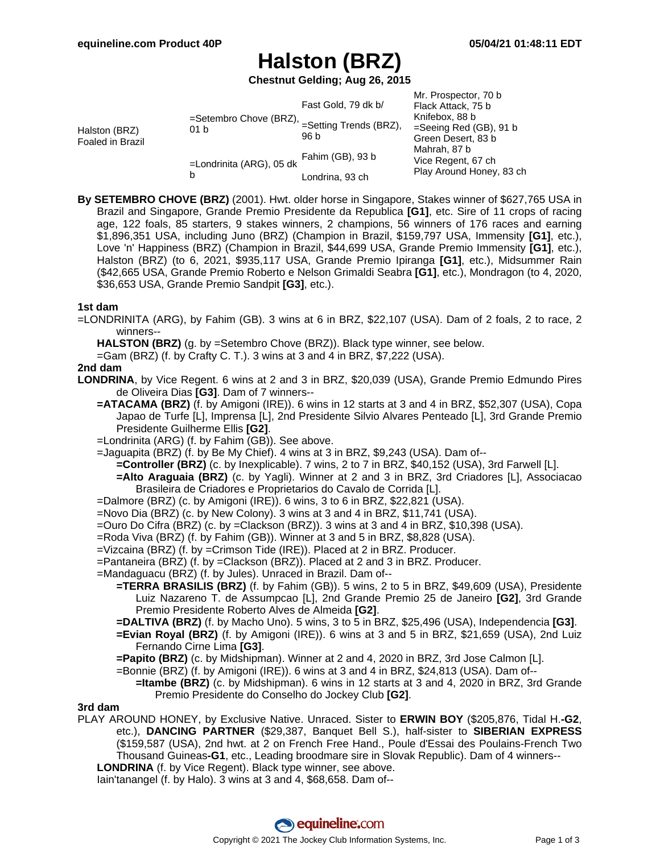# **Halston (BRZ)**

**Chestnut Gelding; Aug 26, 2015**

| Halston (BRZ)<br>Foaled in Brazil | =Setembro Chove (BRZ),<br>01 b | Fast Gold, 79 dk b/               | Mr. Prospector, 70 b<br>Flack Attack, 75 b<br>Knifebox, 88 b<br>$=$ Seeing Red (GB), 91 b<br>Green Desert, 83 b<br>Mahrah, 87 b<br>Vice Regent, 67 ch<br>Play Around Honey, 83 ch |
|-----------------------------------|--------------------------------|-----------------------------------|-----------------------------------------------------------------------------------------------------------------------------------------------------------------------------------|
|                                   |                                | $=$ Setting Trends (BRZ),<br>96 b |                                                                                                                                                                                   |
|                                   | =Londrinita (ARG), 05 dk<br>b  | Fahim (GB), 93 b                  |                                                                                                                                                                                   |
|                                   |                                | Londrina, 93 ch                   |                                                                                                                                                                                   |

**By SETEMBRO CHOVE (BRZ)** (2001). Hwt. older horse in Singapore, Stakes winner of \$627,765 USA in Brazil and Singapore, Grande Premio Presidente da Republica **[G1]**, etc. Sire of 11 crops of racing age, 122 foals, 85 starters, 9 stakes winners, 2 champions, 56 winners of 176 races and earning \$1,896,351 USA, including Juno (BRZ) (Champion in Brazil, \$159,797 USA, Immensity **[G1]**, etc.), Love 'n' Happiness (BRZ) (Champion in Brazil, \$44,699 USA, Grande Premio Immensity **[G1]**, etc.), Halston (BRZ) (to 6, 2021, \$935,117 USA, Grande Premio Ipiranga **[G1]**, etc.), Midsummer Rain (\$42,665 USA, Grande Premio Roberto e Nelson Grimaldi Seabra **[G1]**, etc.), Mondragon (to 4, 2020, \$36,653 USA, Grande Premio Sandpit **[G3]**, etc.).

### **1st dam**

=LONDRINITA (ARG), by Fahim (GB). 3 wins at 6 in BRZ, \$22,107 (USA). Dam of 2 foals, 2 to race, 2 winners--

**HALSTON (BRZ)** (g. by =Setembro Chove (BRZ)). Black type winner, see below.

=Gam (BRZ) (f. by Crafty C. T.). 3 wins at 3 and 4 in BRZ, \$7,222 (USA).

### **2nd dam**

**LONDRINA**, by Vice Regent. 6 wins at 2 and 3 in BRZ, \$20,039 (USA), Grande Premio Edmundo Pires de Oliveira Dias **[G3]**. Dam of 7 winners--

- **=ATACAMA (BRZ)** (f. by Amigoni (IRE)). 6 wins in 12 starts at 3 and 4 in BRZ, \$52,307 (USA), Copa Japao de Turfe [L], Imprensa [L], 2nd Presidente Silvio Alvares Penteado [L], 3rd Grande Premio Presidente Guilherme Ellis **[G2]**.
- =Londrinita (ARG) (f. by Fahim (GB)). See above.

=Jaguapita (BRZ) (f. by Be My Chief). 4 wins at 3 in BRZ, \$9,243 (USA). Dam of--

**=Controller (BRZ)** (c. by Inexplicable). 7 wins, 2 to 7 in BRZ, \$40,152 (USA), 3rd Farwell [L].

- **=Alto Araguaia (BRZ)** (c. by Yagli). Winner at 2 and 3 in BRZ, 3rd Criadores [L], Associacao Brasileira de Criadores e Proprietarios do Cavalo de Corrida [L].
- =Dalmore (BRZ) (c. by Amigoni (IRE)). 6 wins, 3 to 6 in BRZ, \$22,821 (USA).
- =Novo Dia (BRZ) (c. by New Colony). 3 wins at 3 and 4 in BRZ, \$11,741 (USA).
- =Ouro Do Cifra (BRZ) (c. by =Clackson (BRZ)). 3 wins at 3 and 4 in BRZ, \$10,398 (USA).
- =Roda Viva (BRZ) (f. by Fahim (GB)). Winner at 3 and 5 in BRZ, \$8,828 (USA).
- =Vizcaina (BRZ) (f. by =Crimson Tide (IRE)). Placed at 2 in BRZ. Producer.
- =Pantaneira (BRZ) (f. by =Clackson (BRZ)). Placed at 2 and 3 in BRZ. Producer.

=Mandaguacu (BRZ) (f. by Jules). Unraced in Brazil. Dam of--

- **=TERRA BRASILIS (BRZ)** (f. by Fahim (GB)). 5 wins, 2 to 5 in BRZ, \$49,609 (USA), Presidente Luiz Nazareno T. de Assumpcao [L], 2nd Grande Premio 25 de Janeiro **[G2]**, 3rd Grande Premio Presidente Roberto Alves de Almeida **[G2]**.
- **=DALTIVA (BRZ)** (f. by Macho Uno). 5 wins, 3 to 5 in BRZ, \$25,496 (USA), Independencia **[G3]**. **=Evian Royal (BRZ)** (f. by Amigoni (IRE)). 6 wins at 3 and 5 in BRZ, \$21,659 (USA), 2nd Luiz Fernando Cirne Lima **[G3]**.
- **=Papito (BRZ)** (c. by Midshipman). Winner at 2 and 4, 2020 in BRZ, 3rd Jose Calmon [L].

=Bonnie (BRZ) (f. by Amigoni (IRE)). 6 wins at 3 and 4 in BRZ, \$24,813 (USA). Dam of--

**=Itambe (BRZ)** (c. by Midshipman). 6 wins in 12 starts at 3 and 4, 2020 in BRZ, 3rd Grande Premio Presidente do Conselho do Jockey Club **[G2]**.

#### **3rd dam**

PLAY AROUND HONEY, by Exclusive Native. Unraced. Sister to **ERWIN BOY** (\$205,876, Tidal H.**-G2**, etc.), **DANCING PARTNER** (\$29,387, Banquet Bell S.), half-sister to **SIBERIAN EXPRESS** (\$159,587 (USA), 2nd hwt. at 2 on French Free Hand., Poule d'Essai des Poulains-French Two Thousand Guineas**-G1**, etc., Leading broodmare sire in Slovak Republic). Dam of 4 winners-- **LONDRINA** (f. by Vice Regent). Black type winner, see above.

Iain'tanangel (f. by Halo). 3 wins at 3 and 4, \$68,658. Dam of--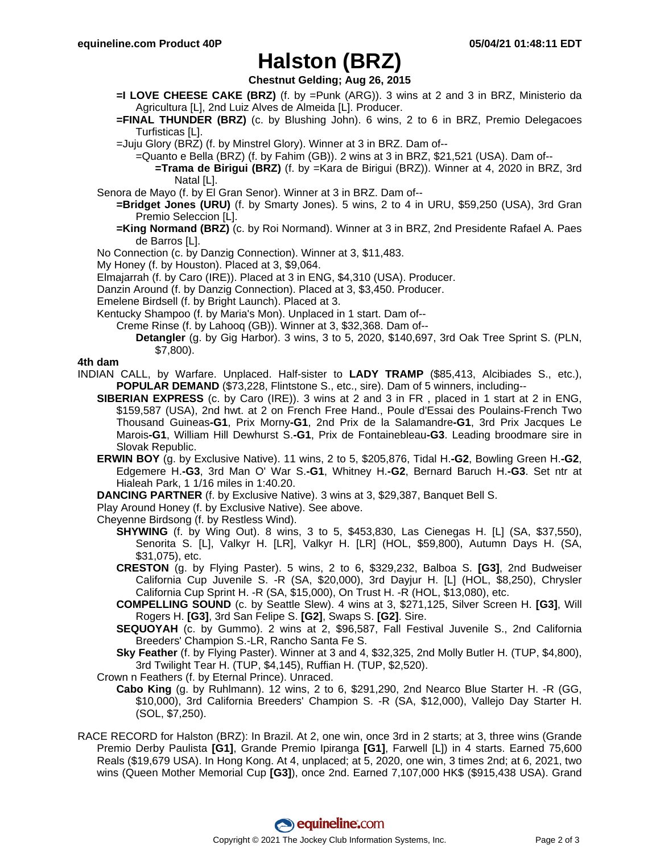# **Halston (BRZ)**

**Chestnut Gelding; Aug 26, 2015**

- **=I LOVE CHEESE CAKE (BRZ)** (f. by =Punk (ARG)). 3 wins at 2 and 3 in BRZ, Ministerio da Agricultura [L], 2nd Luiz Alves de Almeida [L]. Producer.
- **=FINAL THUNDER (BRZ)** (c. by Blushing John). 6 wins, 2 to 6 in BRZ, Premio Delegacoes Turfisticas [L].
- =Juju Glory (BRZ) (f. by Minstrel Glory). Winner at 3 in BRZ. Dam of--
	- =Quanto e Bella (BRZ) (f. by Fahim (GB)). 2 wins at 3 in BRZ, \$21,521 (USA). Dam of--
		- **=Trama de Birigui (BRZ)** (f. by =Kara de Birigui (BRZ)). Winner at 4, 2020 in BRZ, 3rd Natal [L].
- Senora de Mayo (f. by El Gran Senor). Winner at 3 in BRZ. Dam of--
	- **=Bridget Jones (URU)** (f. by Smarty Jones). 5 wins, 2 to 4 in URU, \$59,250 (USA), 3rd Gran Premio Seleccion [L].
		- **=King Normand (BRZ)** (c. by Roi Normand). Winner at 3 in BRZ, 2nd Presidente Rafael A. Paes de Barros [L].
- No Connection (c. by Danzig Connection). Winner at 3, \$11,483.
- My Honey (f. by Houston). Placed at 3, \$9,064.
- Elmajarrah (f. by Caro (IRE)). Placed at 3 in ENG, \$4,310 (USA). Producer.
- Danzin Around (f. by Danzig Connection). Placed at 3, \$3,450. Producer.
- Emelene Birdsell (f. by Bright Launch). Placed at 3.
- Kentucky Shampoo (f. by Maria's Mon). Unplaced in 1 start. Dam of--
	- Creme Rinse (f. by Lahooq (GB)). Winner at 3, \$32,368. Dam of--
		- **Detangler** (g. by Gig Harbor). 3 wins, 3 to 5, 2020, \$140,697, 3rd Oak Tree Sprint S. (PLN, \$7,800).

## **4th dam**

- INDIAN CALL, by Warfare. Unplaced. Half-sister to **LADY TRAMP** (\$85,413, Alcibiades S., etc.), **POPULAR DEMAND** (\$73,228, Flintstone S., etc., sire). Dam of 5 winners, including--
	- **SIBERIAN EXPRESS** (c. by Caro (IRE)). 3 wins at 2 and 3 in FR , placed in 1 start at 2 in ENG, \$159,587 (USA), 2nd hwt. at 2 on French Free Hand., Poule d'Essai des Poulains-French Two Thousand Guineas**-G1**, Prix Morny**-G1**, 2nd Prix de la Salamandre**-G1**, 3rd Prix Jacques Le Marois**-G1**, William Hill Dewhurst S.**-G1**, Prix de Fontainebleau**-G3**. Leading broodmare sire in Slovak Republic.
	- **ERWIN BOY** (g. by Exclusive Native). 11 wins, 2 to 5, \$205,876, Tidal H.**-G2**, Bowling Green H.**-G2**, Edgemere H.**-G3**, 3rd Man O' War S.**-G1**, Whitney H.**-G2**, Bernard Baruch H.**-G3**. Set ntr at Hialeah Park, 1 1/16 miles in 1:40.20.
	- **DANCING PARTNER** (f. by Exclusive Native). 3 wins at 3, \$29,387, Banquet Bell S.
	- Play Around Honey (f. by Exclusive Native). See above.
	- Cheyenne Birdsong (f. by Restless Wind).
		- **SHYWING** (f. by Wing Out). 8 wins, 3 to 5, \$453,830, Las Cienegas H. [L] (SA, \$37,550), Senorita S. [L], Valkyr H. [LR], Valkyr H. [LR] (HOL, \$59,800), Autumn Days H. (SA, \$31,075), etc.
		- **CRESTON** (g. by Flying Paster). 5 wins, 2 to 6, \$329,232, Balboa S. **[G3]**, 2nd Budweiser California Cup Juvenile S. -R (SA, \$20,000), 3rd Dayjur H. [L] (HOL, \$8,250), Chrysler California Cup Sprint H. -R (SA, \$15,000), On Trust H. -R (HOL, \$13,080), etc.
		- **COMPELLING SOUND** (c. by Seattle Slew). 4 wins at 3, \$271,125, Silver Screen H. **[G3]**, Will Rogers H. **[G3]**, 3rd San Felipe S. **[G2]**, Swaps S. **[G2]**. Sire.
		- **SEQUOYAH** (c. by Gummo). 2 wins at 2, \$96,587, Fall Festival Juvenile S., 2nd California Breeders' Champion S.-LR, Rancho Santa Fe S.
		- **Sky Feather** (f. by Flying Paster). Winner at 3 and 4, \$32,325, 2nd Molly Butler H. (TUP, \$4,800), 3rd Twilight Tear H. (TUP, \$4,145), Ruffian H. (TUP, \$2,520).
	- Crown n Feathers (f. by Eternal Prince). Unraced.
	- **Cabo King** (g. by Ruhlmann). 12 wins, 2 to 6, \$291,290, 2nd Nearco Blue Starter H. -R (GG, \$10,000), 3rd California Breeders' Champion S. -R (SA, \$12,000), Vallejo Day Starter H. (SOL, \$7,250).
- RACE RECORD for Halston (BRZ): In Brazil. At 2, one win, once 3rd in 2 starts; at 3, three wins (Grande Premio Derby Paulista **[G1]**, Grande Premio Ipiranga **[G1]**, Farwell [L]) in 4 starts. Earned 75,600 Reals (\$19,679 USA). In Hong Kong. At 4, unplaced; at 5, 2020, one win, 3 times 2nd; at 6, 2021, two wins (Queen Mother Memorial Cup **[G3]**), once 2nd. Earned 7,107,000 HK\$ (\$915,438 USA). Grand